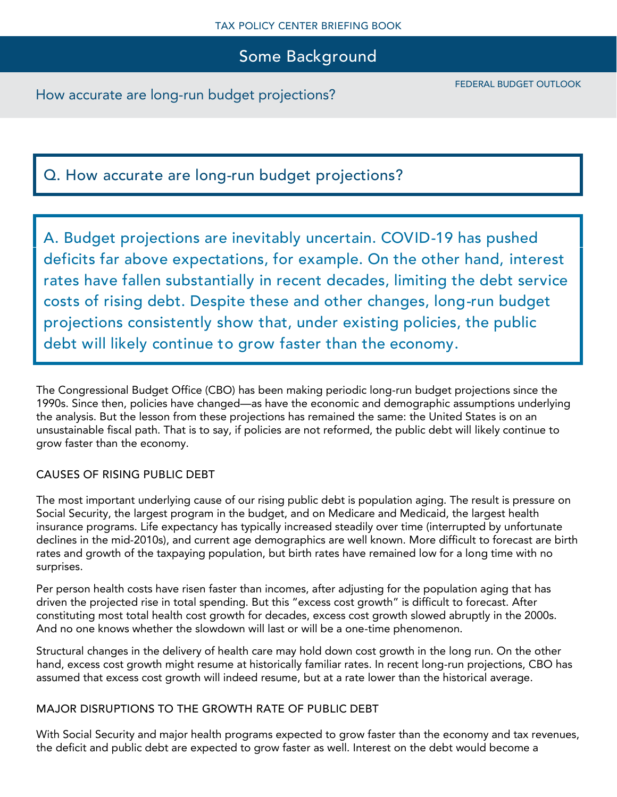Some Background

How accurate are long-run budget projections?

# Q. How accurate are long-run budget projections?

A. Budget projections are inevitably uncertain. COVID-19 has pushed deficits far above expectations, for example. On the other hand, interest rates have fallen substantially in recent decades, limiting the debt service costs of rising debt. Despite these and other changes, long-run budget projections consistently show that, under existing policies, the public debt will likely continue to grow faster than the economy.

The Congressional Budget Office (CBO) has been making periodic long-run budget projections since the 1990s. Since then, policies have changed—as have the economic and demographic assumptions underlying the analysis. But the lesson from these projections has remained the same: the United States is on an unsustainable fiscal path. That is to say, if policies are not reformed, the public debt will likely continue to grow faster than the economy.

### CAUSES OF RISING PUBLIC DEBT

The most important underlying cause of our rising public debt is population aging. The result is pressure on Social Security, the largest program in the budget, and on Medicare and Medicaid, the largest health insurance programs. Life expectancy has typically increased steadily over time (interrupted by unfortunate declines in the mid-2010s), and current age demographics are well known. More difficult to forecast are birth rates and growth of the taxpaying population, but birth rates have remained low for a long time with no surprises.

Per person health costs have risen faster than incomes, after adjusting for the population aging that has driven the projected rise in total spending. But this "excess cost growth" is difficult to forecast. After constituting most total health cost growth for decades, excess cost growth slowed abruptly in the 2000s. And no one knows whether the slowdown will last or will be a one-time phenomenon.

Structural changes in the delivery of health care may hold down cost growth in the long run. On the other hand, excess cost growth might resume at historically familiar rates. In recent long-run projections, CBO has assumed that excess cost growth will indeed resume, but at a rate lower than the historical average.

### MAJOR DISRUPTIONS TO THE GROWTH RATE OF PUBLIC DEBT

With Social Security and major health programs expected to grow faster than the economy and tax revenues, the deficit and public debt are expected to grow faster as well. Interest on the debt would become a

FEDERAL BUDGET OUTLOOK